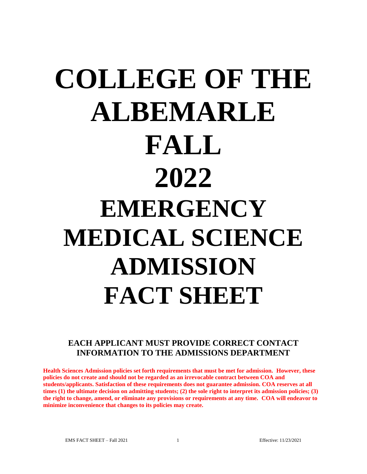# **COLLEGE OF THE ALBEMARLE FALL 2022 EMERGENCY MEDICAL SCIENCE ADMISSION FACT SHEET**

# **EACH APPLICANT MUST PROVIDE CORRECT CONTACT INFORMATION TO THE ADMISSIONS DEPARTMENT**

**Health Sciences Admission policies set forth requirements that must be met for admission. However, these policies do not create and should not be regarded as an irrevocable contract between COA and students/applicants. Satisfaction of these requirements does not guarantee admission. COA reserves at all times (1) the ultimate decision on admitting students; (2) the sole right to interpret its admission policies; (3) the right to change, amend, or eliminate any provisions or requirements at any time. COA will endeavor to minimize inconvenience that changes to its policies may create.**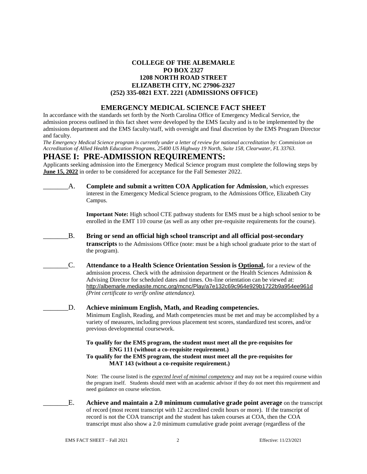#### **COLLEGE OF THE ALBEMARLE PO BOX 2327 1208 NORTH ROAD STREET ELIZABETH CITY, NC 27906-2327 (252) 335-0821 EXT. 2221 (ADMISSIONS OFFICE)**

#### **EMERGENCY MEDICAL SCIENCE FACT SHEET**

In accordance with the standards set forth by the North Carolina Office of Emergency Medical Service, the admission process outlined in this fact sheet were developed by the EMS faculty and is to be implemented by the admissions department and the EMS faculty/staff, with oversight and final discretion by the EMS Program Director and faculty.

*The Emergency Medical Science program is currently under a letter of review for national accreditation by: Commission on Accreditation of Allied Health Education Programs, 25400 US Highway 19 North, Suite 158, Clearwater, FL 33763.*

### **PHASE I: PRE-ADMISSION REQUIREMENTS:**

Applicants seeking admission into the Emergency Medical Science program must complete the following steps by **June 15, 2022** in order to be considered for acceptance for the Fall Semester 2022.

\_\_\_\_\_\_\_A. **Complete and submit a written COA Application for Admission**, which expresses interest in the Emergency Medical Science program, to the Admissions Office, Elizabeth City Campus.

> **Important Note:** High school CTE pathway students for EMS must be a high school senior to be enrolled in the EMT 110 course (as well as any other pre-requisite requirements for the course).

- \_\_\_\_\_\_\_B. **Bring or send an official high school transcript and all official post-secondary transcripts** to the Admissions Office (note: must be a high school graduate prior to the start of the program).
- \_\_\_\_\_\_\_C. **Attendance to a Health Science Orientation Session is Optional,** for a review of the admission process. Check with the admission department or the Health Sciences Admission & Advising Director for scheduled dates and times. On-line orientation can be viewed at: <http://albemarle.mediasite.mcnc.org/mcnc/Play/a7e132c69c964e929b1722b9a954ee961d> *(Print certificate to verify online attendance).* 
	- \_\_\_\_\_\_\_D. **Achieve minimum English, Math, and Reading competencies.** Minimum English, Reading, and Math competencies must be met and may be accomplished by a variety of measures, including previous placement test scores, standardized test scores, and/or previous developmental coursework.

**To qualify for the EMS program, the student must meet all the pre-requisites for ENG 111 (without a co-requisite requirement.) To qualify for the EMS program, the student must meet all the pre-requisites for MAT 143 (without a co-requisite requirement.)**

Note: The course listed is the *expected level of minimal competency* and may not be a required course within the program itself. Students should meet with an academic advisor if they do not meet this requirement and need guidance on course selection.

\_\_\_\_\_\_\_E. **Achieve and maintain a 2.0 minimum cumulative grade point average** on the transcript of record (most recent transcript with 12 accredited credit hours or more). If the transcript of record is not the COA transcript and the student has taken courses at COA, then the COA transcript must also show a 2.0 minimum cumulative grade point average (regardless of the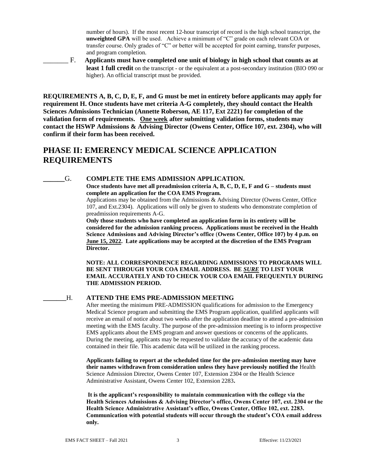number of hours). If the most recent 12-hour transcript of record is the high school transcript, the **unweighted GPA** will be used. Achieve a minimum of "C" grade on each relevant COA or transfer course. Only grades of "C" or better will be accepted for point earning, transfer purposes, and program completion.

\_\_\_\_\_\_\_ F. **Applicants must have completed one unit of biology in high school that counts as at least 1 full credit** on the transcript - or the equivalent at a post-secondary institution (BIO 090 or higher). An official transcript must be provided.

**REQUIREMENTS A, B, C, D, E, F, and G must be met in entirety before applicants may apply for requirement H. Once students have met criteria A-G completely, they should contact the Health Sciences Admissions Technician (Annette Roberson, AE 117, Ext 2221) for completion of the validation form of requirements. One week after submitting validation forms, students may contact the HSWP Admissions & Advising Director (Owens Center, Office 107, ext. 2304), who will confirm if their form has been received.**

# **PHASE II: EMERENCY MEDICAL SCIENCE APPLICATION REQUIREMENTS**

#### **\_\_\_\_\_\_**G. **COMPLETE THE EMS ADMISSION APPLICATION.**

**Once students have met all preadmission criteria A, B, C, D, E, F and G – students must complete an application for the COA EMS Program.** 

Applications may be obtained from the Admissions & Advising Director (Owens Center, Office 107, and Ext.2304). Applications will only be given to students who demonstrate completion of preadmission requirements A-G.

**Only those students who have completed an application form in its entirety will be considered for the admission ranking process. Applications must be received in the Health Science Admissions and Advising Director's office** (**Owens Center, Office 107) by 4 p.m. on June 15, 2022. Late applications may be accepted at the discretion of the EMS Program Director.**

**NOTE: ALL CORRESPONDENCE REGARDING ADMISSIONS TO PROGRAMS WILL BE SENT THROUGH YOUR COA EMAIL ADDRESS. BE** *SURE* **TO LIST YOUR EMAIL ACCURATELY AND TO CHECK YOUR COA EMAIL FREQUENTLY DURING THE ADMISSION PERIOD.**

#### **\_\_\_\_\_\_\_**H. **ATTEND THE EMS PRE-ADMISSION MEETING**

After meeting the minimum PRE-ADMISSION qualifications for admission to the Emergency Medical Science program and submitting the EMS Program application, qualified applicants will receive an email of notice about two weeks after the application deadline to attend a pre-admission meeting with the EMS faculty. The purpose of the pre-admission meeting is to inform prospective EMS applicants about the EMS program and answer questions or concerns of the applicants. During the meeting, applicants may be requested to validate the accuracy of the academic data contained in their file. This academic data will be utilized in the ranking process.

**Applicants failing to report at the scheduled time for the pre-admission meeting may have their names withdrawn from consideration unless they have previously notified the** Health Science Admission Director, Owens Center 107, Extension 2304 or the Health Science Administrative Assistant, Owens Center 102, Extension 2283**.**

**It is the applicant's responsibility to maintain communication with the college via the Health Sciences Admissions & Advising Director's office, Owens Center 107, ext. 2304 or the Health Science Administrative Assistant's office, Owens Center, Office 102, ext. 2283. Communication with potential students will occur through the student's COA email address only.**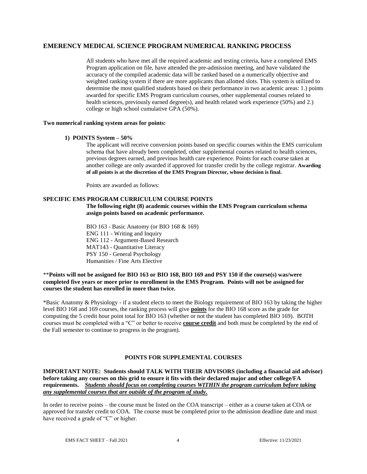#### **EMERENCY MEDICAL SCIENCE PROGRAM NUMERICAL RANKING PROCESS**

All students who have met all the required academic and testing criteria, have a completed EMS Program application on file, have attended the pre-admission meeting, and have validated the accuracy of the compiled academic data will be ranked based on a numerically objective and weighted ranking system if there are more applicants than allotted slots. This system is utilized to determine the most qualified students based on their performance in two academic areas: 1.) points awarded for specific EMS Program curriculum courses, other supplemental courses related to health sciences, previously earned degree(s), and health related work experience (50%) and 2.) college or high school cumulative GPA (50%).

#### **Two numerical ranking system areas for points:**

#### **1) POINTS System – 50%**

The applicant will receive conversion points based on specific courses within the EMS curriculum schema that have already been completed, other supplemental courses related to health sciences, previous degrees earned, and previous health care experience. Points for each course taken at another college are only awarded if approved for transfer credit by the college registrar. **Awarding of all points is at the discretion of the EMS Program Director, whose decision is final.**

Points are awarded as follows:

#### **SPECIFIC EMS PROGRAM CURRICULUM COURSE POINTS**

**The following eight (8) academic courses within the EMS Program curriculum schema assign points based on academic performance.**

BIO 163 - Basic Anatomy (or BIO 168 & 169) ENG 111 - Writing and Inquiry ENG 112 - Argument-Based Research MAT143 - Quantitative Literacy PSY 150 - General Psychology Humanities / Fine Arts Elective

#### \*\***Points will not be assigned for BIO 163 or BIO 168, BIO 169 and PSY 150 if the course(s) was/were completed five years or more prior to enrollment in the EMS Program. Points will not be assigned for courses the student has enrolled in more than twice.**

\*Basic Anatomy & Physiology - if a student elects to meet the Biology requirement of BIO 163 by taking the higher level BIO 168 and 169 courses, the ranking process will give **points** for the BIO 168 score as the grade for computing the 5 credit hour point total for BIO 163 (whether or not the student has completed BIO 169). BOTH courses must be completed with a "C" or better to receive **course credit** and both must be completed by the end of the Fall semester to continue to progress in the program).

#### **POINTS FOR SUPPLEMENTAL COURSES**

**IMPORTANT NOTE: Students should TALK WITH THEIR ADVISORS (including a financial aid advisor) before taking any courses on this grid to ensure it fits with their declared major and other college/FA requirements.** *Students should focus on completing courses WITHIN the program curriculum before taking any supplemental courses that are outside of the program of study.* 

In order to receive points – the course must be listed on the COA transcript – either as a course taken at COA or approved for transfer credit to COA. The course must be completed prior to the admission deadline date and must have received a grade of "C" or higher.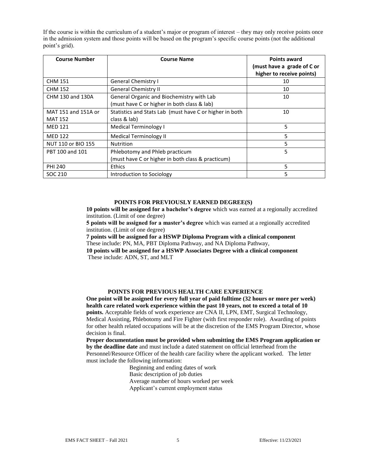If the course is within the curriculum of a student's major or program of interest – they may only receive points once in the admission system and those points will be based on the program's specific course points (not the additional point's grid).

| <b>Course Number</b> | <b>Course Name</b>                                      | <b>Points award</b>        |  |
|----------------------|---------------------------------------------------------|----------------------------|--|
|                      |                                                         | (must have a grade of C or |  |
|                      |                                                         | higher to receive points)  |  |
| <b>CHM 151</b>       | <b>General Chemistry I</b>                              | 10                         |  |
| <b>CHM 152</b>       | <b>General Chemistry II</b>                             | 10                         |  |
| CHM 130 and 130A     | General Organic and Biochemistry with Lab               | 10                         |  |
|                      | (must have C or higher in both class & lab)             |                            |  |
| MAT 151 and 151A or  | Statistics and Stats Lab (must have C or higher in both | 10                         |  |
| <b>MAT 152</b>       | class & lab)                                            |                            |  |
| <b>MED 121</b>       | <b>Medical Terminology I</b>                            | 5                          |  |
| <b>MED 122</b>       | <b>Medical Terminology II</b>                           | 5                          |  |
| NUT 110 or BIO 155   | <b>Nutrition</b>                                        | 5                          |  |
| PBT 100 and 101      | Phlebotomy and Phleb practicum                          | 5                          |  |
|                      | (must have C or higher in both class & practicum)       |                            |  |
| <b>PHI 240</b>       | <b>Ethics</b>                                           | 5                          |  |
| SOC 210              | Introduction to Sociology                               | 5                          |  |

#### **POINTS FOR PREVIOUSLY EARNED DEGREE(S)**

**10 points will be assigned for a bachelor's degree** which was earned at a regionally accredited institution. (Limit of one degree)

**5 points will be assigned for a master's degree** which was earned at a regionally accredited institution. (Limit of one degree)

**7 points will be assigned for a HSWP Diploma Program with a clinical component** These include: PN, MA, PBT Diploma Pathway, and NA Diploma Pathway,

**10 points will be assigned for a HSWP Associates Degree with a clinical component** These include: ADN, ST, and MLT

#### **POINTS FOR PREVIOUS HEALTH CARE EXPERIENCE**

**One point will be assigned for every full year of paid fulltime (32 hours or more per week) health care related work experience within the past 10 years, not to exceed a total of 10 points.** Acceptable fields of work experience are CNA II, LPN, EMT, Surgical Technology, Medical Assisting, Phlebotomy and Fire Fighter (with first responder role). Awarding of points for other health related occupations will be at the discretion of the EMS Program Director, whose decision is final.

**Proper documentation must be provided when submitting the EMS Program application or by the deadline date** and must include a dated statement on official letterhead from the Personnel/Resource Officer of the health care facility where the applicant worked. The letter must include the following information:

> Beginning and ending dates of work Basic description of job duties Average number of hours worked per week Applicant's current employment status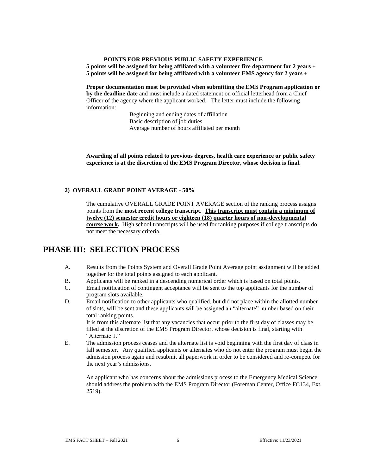#### **POINTS FOR PREVIOUS PUBLIC SAFETY EXPERIENCE**

**5 points will be assigned for being affiliated with a volunteer fire department for 2 years + 5 points will be assigned for being affiliated with a volunteer EMS agency for 2 years +**

**Proper documentation must be provided when submitting the EMS Program application or by the deadline date** and must include a dated statement on official letterhead from a Chief Officer of the agency where the applicant worked. The letter must include the following information:

> Beginning and ending dates of affiliation Basic description of job duties Average number of hours affiliated per month

**Awarding of all points related to previous degrees, health care experience or public safety experience is at the discretion of the EMS Program Director, whose decision is final.**

#### **2) OVERALL GRADE POINT AVERAGE - 50%**

The cumulative OVERALL GRADE POINT AVERAGE section of the ranking process assigns points from the **most recent college transcript. This transcript must contain a minimum of twelve (12) semester credit hours or eighteen (18) quarter hours of non-developmental course work.** High school transcripts will be used for ranking purposes if college transcripts do not meet the necessary criteria.

## **PHASE III: SELECTION PROCESS**

- A. Results from the Points System and Overall Grade Point Average point assignment will be added together for the total points assigned to each applicant.
- B. Applicants will be ranked in a descending numerical order which is based on total points.
- C. Email notification of contingent acceptance will be sent to the top applicants for the number of program slots available.
- D. Email notification to other applicants who qualified, but did not place within the allotted number of slots, will be sent and these applicants will be assigned an "alternate" number based on their total ranking points.

It is from this alternate list that any vacancies that occur prior to the first day of classes may be filled at the discretion of the EMS Program Director, whose decision is final, starting with "Alternate 1."

E. The admission process ceases and the alternate list is void beginning with the first day of class in fall semester. Any qualified applicants or alternates who do not enter the program must begin the admission process again and resubmit all paperwork in order to be considered and re-compete for the next year's admissions.

An applicant who has concerns about the admissions process to the Emergency Medical Science should address the problem with the EMS Program Director (Foreman Center, Office FC134, Ext. 2519).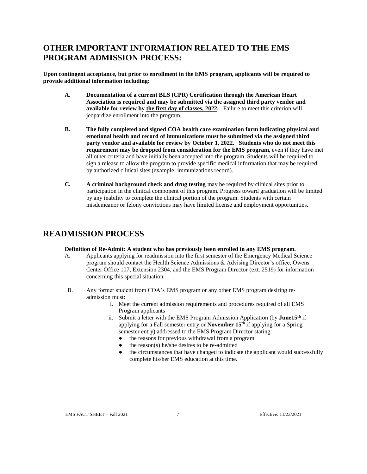# **OTHER IMPORTANT INFORMATION RELATED TO THE EMS PROGRAM ADMISSION PROCESS:**

**Upon contingent acceptance, but prior to enrollment in the EMS program, applicants will be required to provide additional information including:**

- **A. Documentation of a current BLS (CPR) Certification through the American Heart Association is required and may be submitted via the assigned third party vendor and available for review by the first day of classes, 2022.** Failure to meet this criterion will jeopardize enrollment into the program.
- **B. The fully completed and signed COA health care examination form indicating physical and emotional health and record of immunizations must be submitted via the assigned third party vendor and available for review by October 1, 2022. Students who do not meet this requirement may be dropped from consideration for the EMS program**, even if they have met all other criteria and have initially been accepted into the program. Students will be required to sign a release to allow the program to provide specific medical information that may be required by authorized clinical sites (example: immunizations record).
- **C. A criminal background check and drug testing** may be required by clinical sites prior to participation in the clinical component of this program. Progress toward graduation will be limited by any inability to complete the clinical portion of the program. Students with certain misdemeanor or felony convictions may have limited license and employment opportunities.

## **READMISSION PROCESS**

#### **Definition of Re-Admit: A student who has previously been enrolled in any EMS program.**

- A. Applicants applying for readmission into the first semester of the Emergency Medical Science program should contact the Health Science Admissions & Advising Director's office, Owens Center Office 107, Extension 2304, and the EMS Program Director (ext. 2519) for information concerning this special situation.
- B. Any former student from COA's EMS program or any other EMS program desiring readmission must:
	- i. Meet the current admission requirements and procedures required of all EMS Program applicants
	- ii. Submit a letter with the EMS Program Admission Application (by **June15<sup>th</sup>** if applying for a Fall semester entry or **November 15 th** if applying for a Spring semester entry) addressed to the EMS Program Director stating:
		- the reasons for previous withdrawal from a program
		- the reason(s) he/she desires to be re-admitted
		- the circumstances that have changed to indicate the applicant would successfully complete his/her EMS education at this time.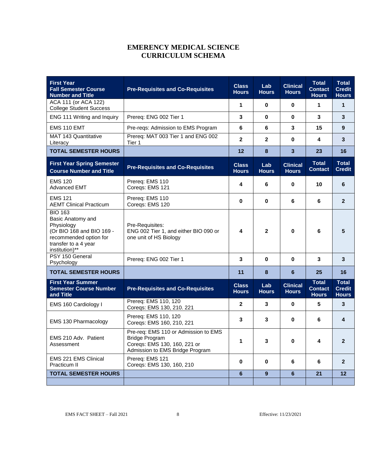## **EMERENCY MEDICAL SCIENCE CURRICULUM SCHEMA**

| <b>First Year</b><br><b>Fall Semester Course</b><br><b>Number and Title</b>                                                                        | <b>Pre-Requisites and Co-Requisites</b>                                                                                          | <b>Class</b><br><b>Hours</b> | Lab<br><b>Hours</b> | <b>Clinical</b><br><b>Hours</b> | <b>Total</b><br><b>Contact</b><br><b>Hours</b> | <b>Total</b><br><b>Credit</b><br><b>Hours</b> |
|----------------------------------------------------------------------------------------------------------------------------------------------------|----------------------------------------------------------------------------------------------------------------------------------|------------------------------|---------------------|---------------------------------|------------------------------------------------|-----------------------------------------------|
| ACA 111 (or ACA 122)<br><b>College Student Success</b>                                                                                             |                                                                                                                                  | 1                            | 0                   | $\bf{0}$                        | 1                                              | 1                                             |
| ENG 111 Writing and Inquiry                                                                                                                        | Prereg: ENG 002 Tier 1                                                                                                           | 3                            | 0                   | 0                               | 3                                              | 3                                             |
| EMS 110 EMT                                                                                                                                        | Pre-reqs: Admission to EMS Program                                                                                               | 6                            | 6                   | 3                               | 15                                             | 9                                             |
| <b>MAT 143 Quantitative</b><br>Literacy                                                                                                            | Prereq: MAT 003 Tier 1 and ENG 002<br>Tier 1                                                                                     | $\overline{2}$               | $\mathbf{2}$        | 0                               | 4                                              | 3                                             |
| <b>TOTAL SEMESTER HOURS</b>                                                                                                                        |                                                                                                                                  | 12                           | 8                   | 3                               | 23                                             | 16                                            |
| <b>First Year Spring Semester</b><br><b>Course Number and Title</b>                                                                                | <b>Pre-Requisites and Co-Requisites</b>                                                                                          | <b>Class</b><br><b>Hours</b> | Lab<br><b>Hours</b> | <b>Clinical</b><br><b>Hours</b> | <b>Total</b><br><b>Contact</b>                 | <b>Total</b><br><b>Credit</b>                 |
| <b>EMS 120</b><br><b>Advanced EMT</b>                                                                                                              | Prereg: EMS 110<br>Coregs: EMS 121                                                                                               | 4                            | 6                   | $\bf{0}$                        | 10                                             | 6                                             |
| <b>EMS 121</b><br><b>AEMT Clinical Practicum</b>                                                                                                   | Prereg: EMS 110<br>Coregs: EMS 120                                                                                               | $\mathbf{0}$                 | 0                   | 6                               | 6                                              | $\overline{2}$                                |
| <b>BIO 163</b><br>Basic Anatomy and<br>Physiology<br>(Or BIO 168 and BIO 169 -<br>recommended option for<br>transfer to a 4 year<br>institution)** | Pre-Requisites:<br>ENG 002 Tier 1, and either BIO 090 or<br>one unit of HS Biology                                               | 4                            | $\mathbf{2}$        | $\bf{0}$                        | 6                                              | 5                                             |
| PSY 150 General<br>Psychology                                                                                                                      | Prereq: ENG 002 Tier 1                                                                                                           | 3                            | 0                   | $\mathbf{0}$                    | 3                                              | 3                                             |
| <b>TOTAL SEMESTER HOURS</b>                                                                                                                        |                                                                                                                                  | 11                           | 8                   | 6                               | 25                                             | 16                                            |
| <b>First Year Summer</b><br><b>Semester Course Number</b><br>and Title                                                                             | <b>Pre-Requisites and Co-Requisites</b>                                                                                          | <b>Class</b><br><b>Hours</b> | Lab<br><b>Hours</b> | <b>Clinical</b><br><b>Hours</b> | <b>Total</b><br><b>Contact</b><br><b>Hours</b> | <b>Total</b><br><b>Credit</b><br><b>Hours</b> |
| EMS 160 Cardiology I                                                                                                                               | Prereq: EMS 110, 120<br>Coreqs: EMS 130, 210. 221                                                                                | $\overline{2}$               | 3                   | $\bf{0}$                        | 5                                              | 3                                             |
| EMS 130 Pharmacology                                                                                                                               | Prereq: EMS 110, 120<br>Coreqs: EMS 160, 210, 221                                                                                | 3                            | 3                   | $\bf{0}$                        | 6                                              | 4                                             |
| EMS 210 Adv. Patient<br>Assessment                                                                                                                 | Pre-req: EMS 110 or Admission to EMS<br><b>Bridge Program</b><br>Coreqs: EMS 130, 160, 221 or<br>Admission to EMS Bridge Program | 1                            | 3                   | 0                               | 4                                              | $\mathbf{2}$                                  |
| EMS 221 EMS Clinical<br>Practicum II                                                                                                               | Prereg: EMS 121<br>Coregs: EMS 130, 160, 210                                                                                     | 0                            | 0                   | 6                               | 6                                              | $\overline{2}$                                |
| <b>TOTAL SEMESTER HOURS</b>                                                                                                                        |                                                                                                                                  | 6                            | 9                   | 6                               | 21                                             | 12                                            |